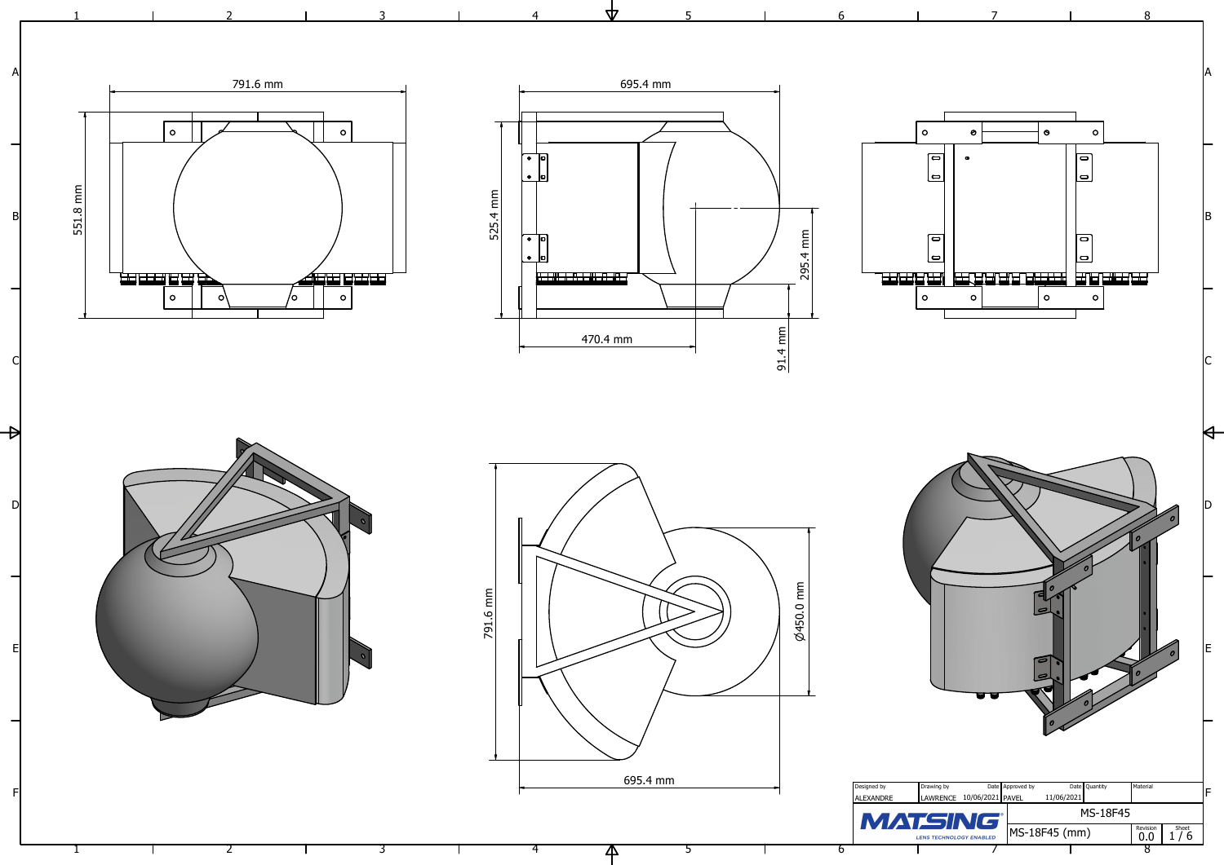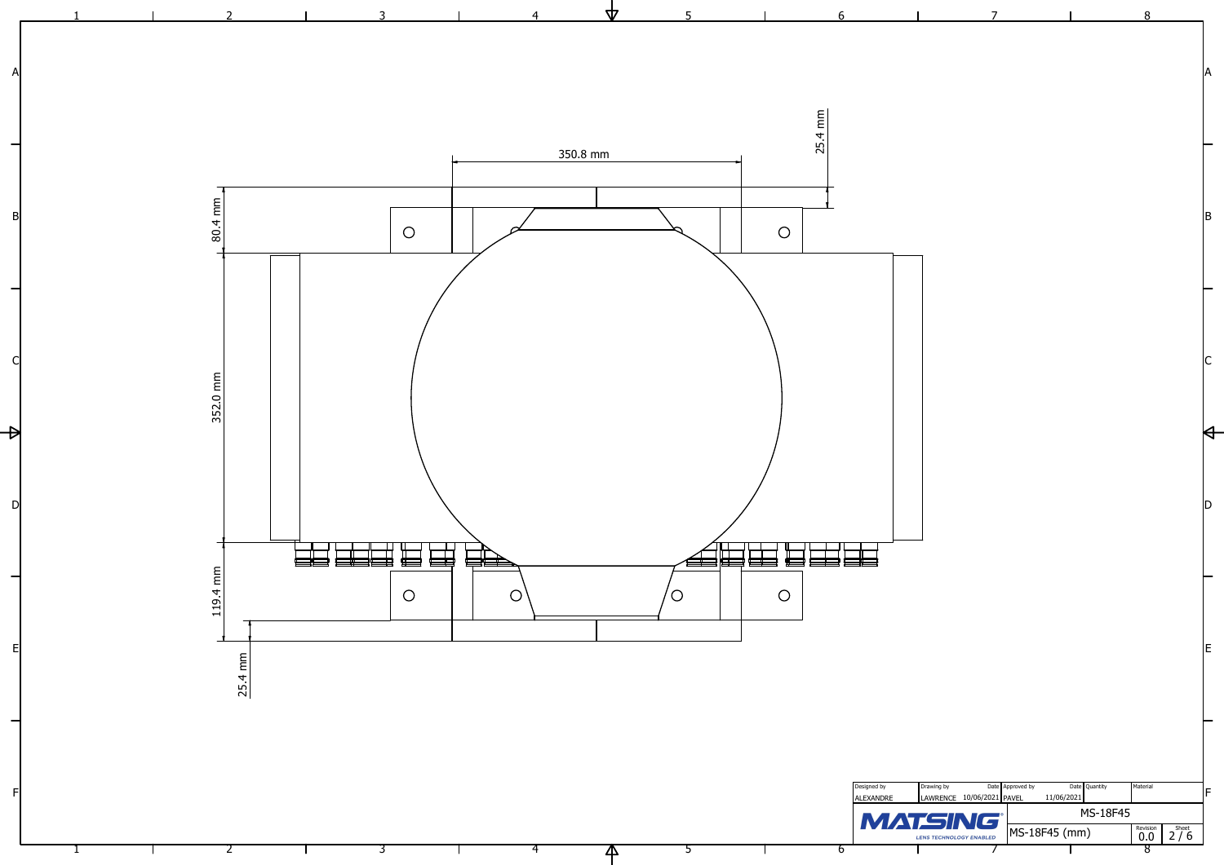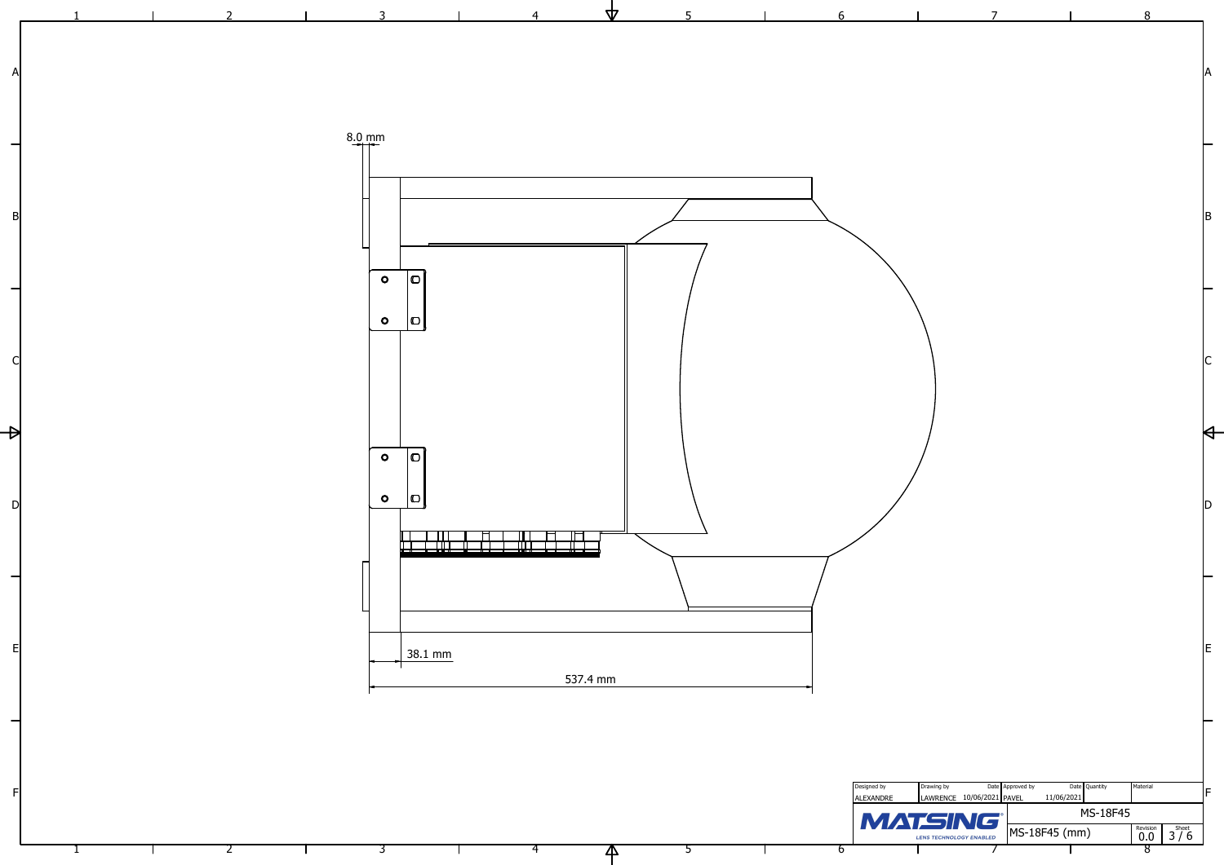1

2

3

4

 $\overline{\mathcal{A}}$ 

5

6

 $\blacksquare$ 

7



8

| 5 | 6                               |                                                   | $\overline{7}$                                |                                                                 | 8                                                                    |                                                                     |
|---|---------------------------------|---------------------------------------------------|-----------------------------------------------|-----------------------------------------------------------------|----------------------------------------------------------------------|---------------------------------------------------------------------|
|   |                                 |                                                   |                                               |                                                                 |                                                                      | ΙA                                                                  |
|   |                                 |                                                   |                                               |                                                                 |                                                                      | IB.                                                                 |
|   |                                 |                                                   |                                               |                                                                 |                                                                      |                                                                     |
|   |                                 |                                                   |                                               |                                                                 |                                                                      | $\mathsf{C}% _{0}\left( t\right) \in\mathcal{C}_{0}\left( 0\right)$ |
|   |                                 |                                                   |                                               |                                                                 |                                                                      | ID                                                                  |
|   |                                 |                                                   |                                               |                                                                 |                                                                      | lE.                                                                 |
|   |                                 |                                                   |                                               |                                                                 |                                                                      |                                                                     |
|   | Designed by<br><b>ALEXANDRE</b> | Drawing by<br>MATSING®<br>LENS TECHNOLOGY ENABLED | Date Approved by<br>LAWRENCE 10/06/2021 PAVEL | Date Quantity<br>11/06/2021<br><b>MS-18F45</b><br>MS-18F45 (mm) | Material<br>$\overset{\text{Revision}}{\mathbf{0.0}}$<br>$3^{Sheet}$ | IF                                                                  |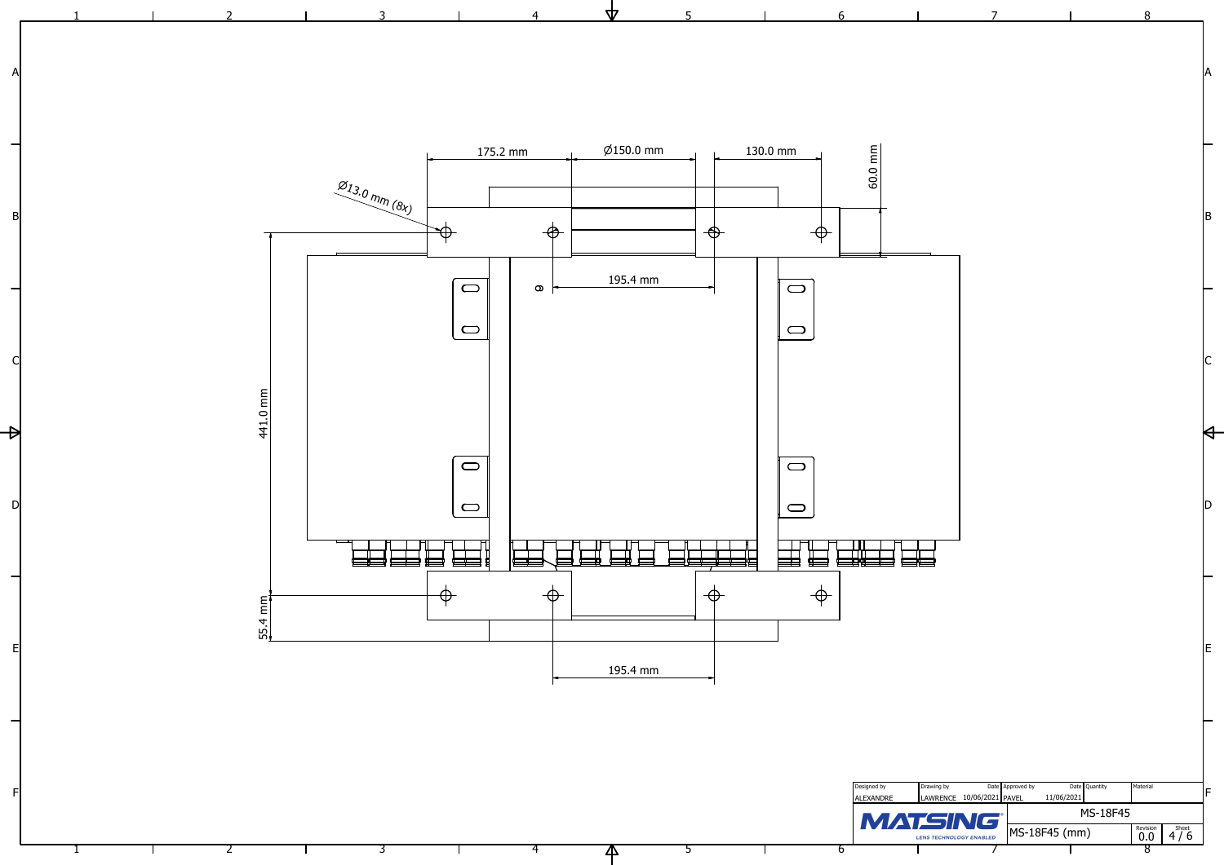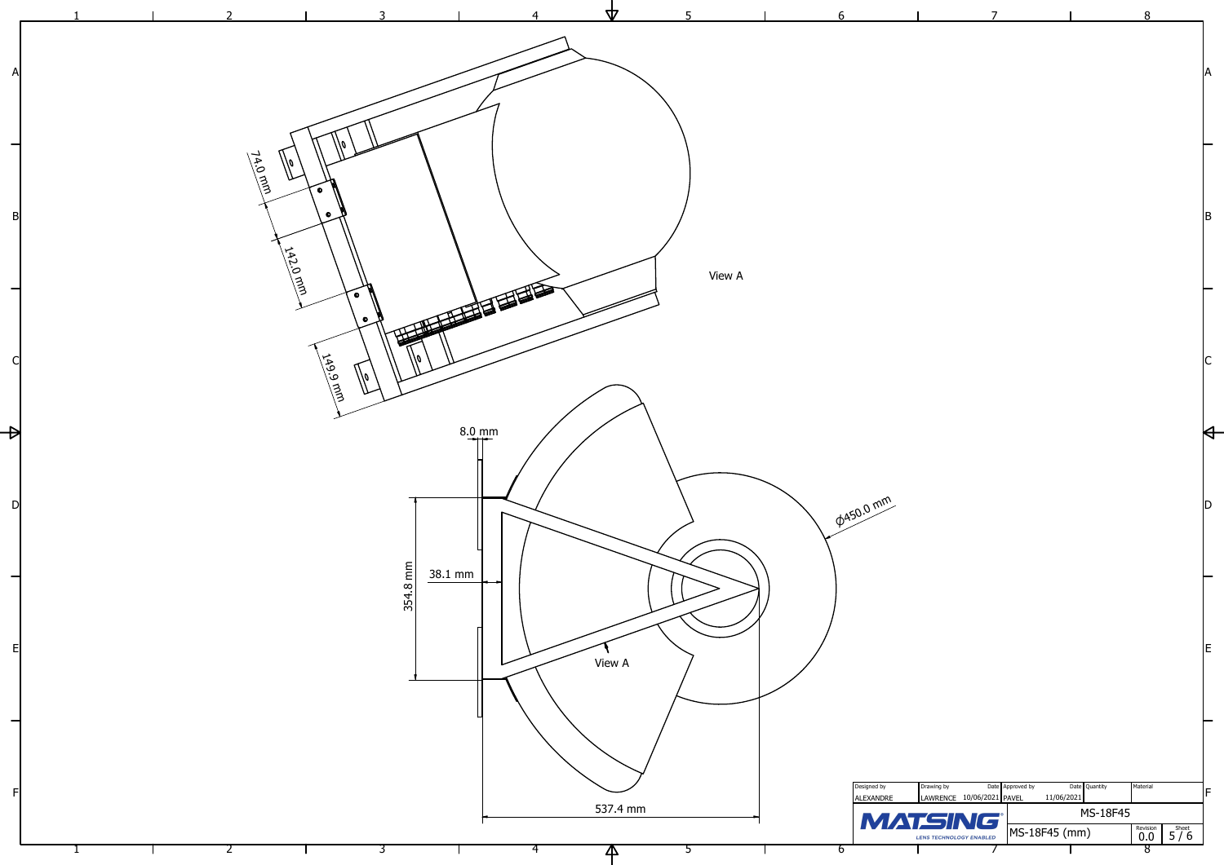